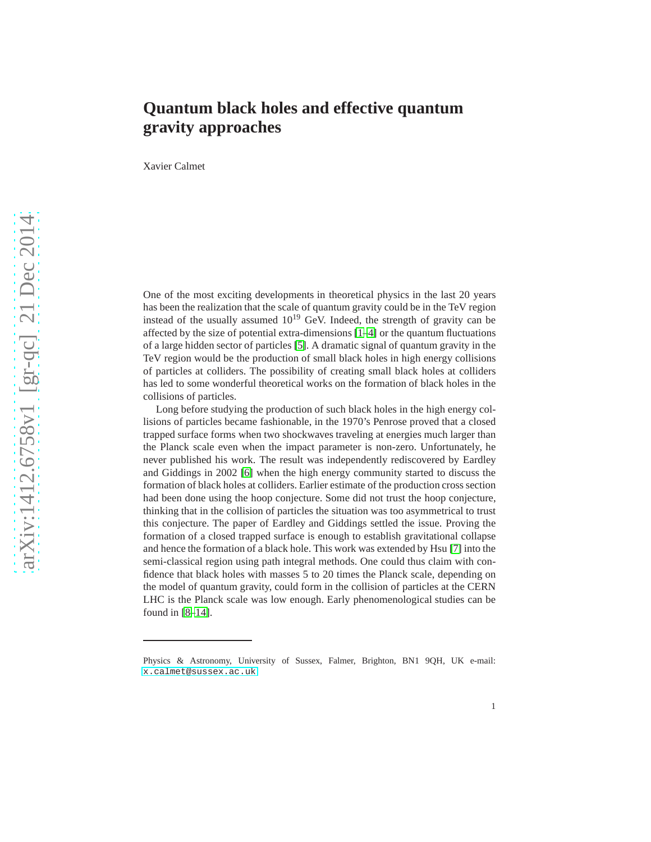## **Quantum black holes and effective quantum gravity approaches**

Xavier Calmet

One of the most exciting developments in theoretical physics in the last 20 years has been the realization that the scale of quantum gravity could be in the TeV region instead of the usually assumed  $10^{19}$  GeV. Indeed, the strength of gravity can be affected by the size of potential extra-dimensions [\[1](#page-3-0)[–4\]](#page-3-1) or the quantum fluctuations of a large hidden sector of particles [\[5\]](#page-3-2). A dramatic signal of quantum gravity in the TeV region would be the production of small black holes in high energy collisions of particles at colliders. The possibility of creating small black holes at colliders has led to some wonderful theoretical works on the formation of black holes in the collisions of particles.

Long before studying the production of such black holes in the high energy collisions of particles became fashionable, in the 1970's Penrose proved that a closed trapped surface forms when two shockwaves traveling at energies much larger than the Planck scale even when the impact parameter is non-zero. Unfortunately, he never published his work. The result was independently rediscovered by Eardley and Giddings in 2002 [\[6\]](#page-3-3) when the high energy community started to discuss the formation of black holes at colliders. Earlier estimate of the production cross section had been done using the hoop conjecture. Some did not trust the hoop conjecture, thinking that in the collision of particles the situation was too asymmetrical to trust this conjecture. The paper of Eardley and Giddings settled the issue. Proving the formation of a closed trapped surface is enough to establish gravitational collapse and hence the formation of a black hole. This work was extended by Hsu [\[7\]](#page-3-4) into the semi-classical region using path integral methods. One could thus claim with confidence that black holes with masses 5 to 20 times the Planck scale, depending on the model of quantum gravity, could form in the collision of particles at the CERN LHC is the Planck scale was low enough. Early phenomenological studies can be found in [\[8](#page-3-5)[–14\]](#page-3-6).

Physics & Astronomy, University of Sussex, Falmer, Brighton, BN1 9QH, UK e-mail: <x.calmet@sussex.ac.uk>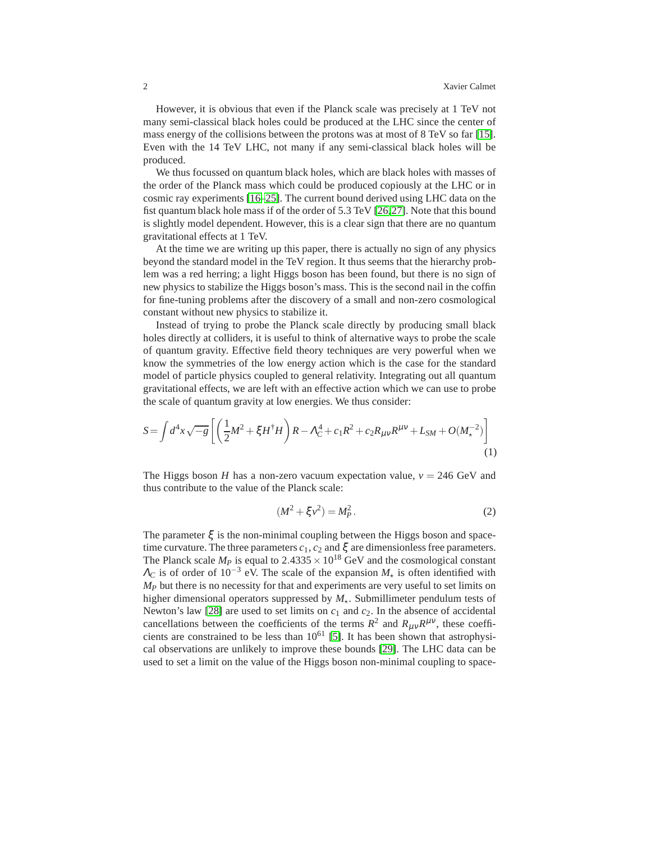However, it is obvious that even if the Planck scale was precisely at 1 TeV not many semi-classical black holes could be produced at the LHC since the center of mass energy of the collisions between the protons was at most of 8 TeV so far [\[15\]](#page-3-7). Even with the 14 TeV LHC, not many if any semi-classical black holes will be produced.

We thus focussed on quantum black holes, which are black holes with masses of the order of the Planck mass which could be produced copiously at the LHC or in cosmic ray experiments [\[16](#page-4-0)[–25\]](#page-4-1). The current bound derived using LHC data on the fist quantum black hole mass if of the order of 5.3 TeV [\[26,](#page-4-2)[27\]](#page-4-3). Note that this bound is slightly model dependent. However, this is a clear sign that there are no quantum gravitational effects at 1 TeV.

At the time we are writing up this paper, there is actually no sign of any physics beyond the standard model in the TeV region. It thus seems that the hierarchy problem was a red herring; a light Higgs boson has been found, but there is no sign of new physics to stabilize the Higgs boson's mass. This is the second nail in the coffin for fine-tuning problems after the discovery of a small and non-zero cosmological constant without new physics to stabilize it.

Instead of trying to probe the Planck scale directly by producing small black holes directly at colliders, it is useful to think of alternative ways to probe the scale of quantum gravity. Effective field theory techniques are very powerful when we know the symmetries of the low energy action which is the case for the standard model of particle physics coupled to general relativity. Integrating out all quantum gravitational effects, we are left with an effective action which we can use to probe the scale of quantum gravity at low energies. We thus consider:

<span id="page-1-0"></span>
$$
S = \int d^4x \sqrt{-g} \left[ \left( \frac{1}{2} M^2 + \xi H^{\dagger} H \right) R - \Lambda_C^4 + c_1 R^2 + c_2 R_{\mu\nu} R^{\mu\nu} + L_{SM} + O(M_\star^{-2}) \right] \tag{1}
$$

The Higgs boson *H* has a non-zero vacuum expectation value,  $v = 246$  GeV and thus contribute to the value of the Planck scale:

$$
(M^2 + \xi v^2) = M_P^2.
$$
 (2)

The parameter  $\xi$  is the non-minimal coupling between the Higgs boson and spacetime curvature. The three parameters  $c_1$ ,  $c_2$  and  $\xi$  are dimensionless free parameters. The Planck scale  $M_p$  is equal to 2.4335  $\times$  10<sup>18</sup> GeV and the cosmological constant  $\Lambda_C$  is of order of 10<sup>-3</sup> eV. The scale of the expansion  $M_{\star}$  is often identified with *M<sup>P</sup>* but there is no necessity for that and experiments are very useful to set limits on higher dimensional operators suppressed by  $M_{\star}$ . Submillimeter pendulum tests of Newton's law [\[28\]](#page-4-4) are used to set limits on  $c_1$  and  $c_2$ . In the absence of accidental cancellations between the coefficients of the terms  $R^2$  and  $R_{\mu\nu}R^{\mu\nu}$ , these coefficients are constrained to be less than  $10^{61}$  [\[5\]](#page-3-2). It has been shown that astrophysical observations are unlikely to improve these bounds [\[29\]](#page-4-5). The LHC data can be used to set a limit on the value of the Higgs boson non-minimal coupling to space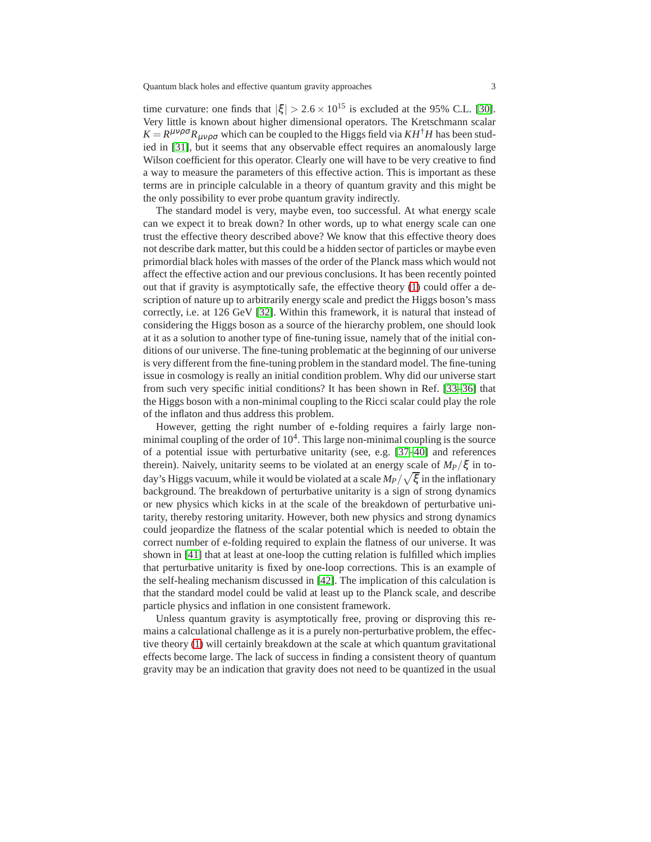time curvature: one finds that  $|\xi| > 2.6 \times 10^{15}$  is excluded at the 95% C.L. [\[30\]](#page-4-6). Very little is known about higher dimensional operators. The Kretschmann scalar  $K = R^{\mu\nu\rho\sigma} R_{\mu\nu\rho\sigma}$  which can be coupled to the Higgs field via  $KH^{\dagger}H$  has been studied in [\[31\]](#page-4-7), but it seems that any observable effect requires an anomalously large Wilson coefficient for this operator. Clearly one will have to be very creative to find a way to measure the parameters of this effective action. This is important as these terms are in principle calculable in a theory of quantum gravity and this might be the only possibility to ever probe quantum gravity indirectly.

The standard model is very, maybe even, too successful. At what energy scale can we expect it to break down? In other words, up to what energy scale can one trust the effective theory described above? We know that this effective theory does not describe dark matter, but this could be a hidden sector of particles or maybe even primordial black holes with masses of the order of the Planck mass which would not affect the effective action and our previous conclusions. It has been recently pointed out that if gravity is asymptotically safe, the effective theory [\(1\)](#page-1-0) could offer a description of nature up to arbitrarily energy scale and predict the Higgs boson's mass correctly, i.e. at 126 GeV [\[32\]](#page-4-8). Within this framework, it is natural that instead of considering the Higgs boson as a source of the hierarchy problem, one should look at it as a solution to another type of fine-tuning issue, namely that of the initial conditions of our universe. The fine-tuning problematic at the beginning of our universe is very different from the fine-tuning problem in the standard model. The fine-tuning issue in cosmology is really an initial condition problem. Why did our universe start from such very specific initial conditions? It has been shown in Ref. [\[33–](#page-4-9)[36\]](#page-4-10) that the Higgs boson with a non-minimal coupling to the Ricci scalar could play the role of the inflaton and thus address this problem.

However, getting the right number of e-folding requires a fairly large nonminimal coupling of the order of  $10<sup>4</sup>$ . This large non-minimal coupling is the source of a potential issue with perturbative unitarity (see, e.g. [\[37–](#page-4-11)[40\]](#page-4-12) and references therein). Naively, unitarity seems to be violated at an energy scale of  $M_P/\xi$  in today's Higgs vacuum, while it would be violated at a scale  $M_P/\sqrt{\xi}$  in the inflationary background. The breakdown of perturbative unitarity is a sign of strong dynamics or new physics which kicks in at the scale of the breakdown of perturbative unitarity, thereby restoring unitarity. However, both new physics and strong dynamics could jeopardize the flatness of the scalar potential which is needed to obtain the correct number of e-folding required to explain the flatness of our universe. It was shown in [\[41\]](#page-4-13) that at least at one-loop the cutting relation is fulfilled which implies that perturbative unitarity is fixed by one-loop corrections. This is an example of the self-healing mechanism discussed in [\[42\]](#page-4-14). The implication of this calculation is that the standard model could be valid at least up to the Planck scale, and describe particle physics and inflation in one consistent framework.

Unless quantum gravity is asymptotically free, proving or disproving this remains a calculational challenge as it is a purely non-perturbative problem, the effective theory [\(1\)](#page-1-0) will certainly breakdown at the scale at which quantum gravitational effects become large. The lack of success in finding a consistent theory of quantum gravity may be an indication that gravity does not need to be quantized in the usual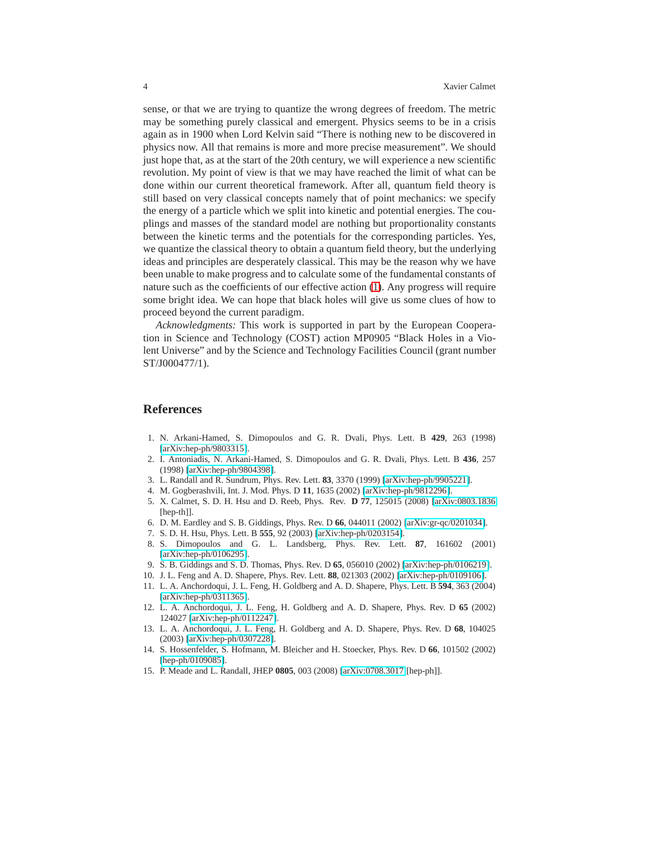sense, or that we are trying to quantize the wrong degrees of freedom. The metric may be something purely classical and emergent. Physics seems to be in a crisis again as in 1900 when Lord Kelvin said "There is nothing new to be discovered in physics now. All that remains is more and more precise measurement". We should just hope that, as at the start of the 20th century, we will experience a new scientific revolution. My point of view is that we may have reached the limit of what can be done within our current theoretical framework. After all, quantum field theory is still based on very classical concepts namely that of point mechanics: we specify the energy of a particle which we split into kinetic and potential energies. The couplings and masses of the standard model are nothing but proportionality constants between the kinetic terms and the potentials for the corresponding particles. Yes, we quantize the classical theory to obtain a quantum field theory, but the underlying ideas and principles are desperately classical. This may be the reason why we have been unable to make progress and to calculate some of the fundamental constants of nature such as the coefficients of our effective action [\(1\)](#page-1-0). Any progress will require some bright idea. We can hope that black holes will give us some clues of how to proceed beyond the current paradigm.

*Acknowledgments:* This work is supported in part by the European Cooperation in Science and Technology (COST) action MP0905 "Black Holes in a Violent Universe" and by the Science and Technology Facilities Council (grant number ST/J000477/1).

## **References**

- <span id="page-3-0"></span>1. N. Arkani-Hamed, S. Dimopoulos and G. R. Dvali, Phys. Lett. B **429**, 263 (1998) [\[arXiv:hep-ph/9803315\]](http://arxiv.org/abs/hep-ph/9803315).
- 2. I. Antoniadis, N. Arkani-Hamed, S. Dimopoulos and G. R. Dvali, Phys. Lett. B **436**, 257 (1998) [\[arXiv:hep-ph/9804398\]](http://arxiv.org/abs/hep-ph/9804398).
- <span id="page-3-1"></span>3. L. Randall and R. Sundrum, Phys. Rev. Lett. **83**, 3370 (1999) [\[arXiv:hep-ph/9905221\]](http://arxiv.org/abs/hep-ph/9905221).
- <span id="page-3-2"></span>4. M. Gogberashvili, Int. J. Mod. Phys. D **11**, 1635 (2002) [\[arXiv:hep-ph/9812296\]](http://arxiv.org/abs/hep-ph/9812296).
- 5. X. Calmet, S. D. H. Hsu and D. Reeb, Phys. Rev. **D 77**, 125015 (2008) [\[arXiv:0803.1836](http://arxiv.org/abs/0803.1836) [hep-th]].
- <span id="page-3-4"></span><span id="page-3-3"></span>6. D. M. Eardley and S. B. Giddings, Phys. Rev. D **66**, 044011 (2002) [\[arXiv:gr-qc/0201034\]](http://arxiv.org/abs/gr-qc/0201034).
- <span id="page-3-5"></span>7. S. D. H. Hsu, Phys. Lett. B **555**, 92 (2003) [\[arXiv:hep-ph/0203154\]](http://arxiv.org/abs/hep-ph/0203154).
- 8. S. Dimopoulos and G. L. Landsberg, Phys. Rev. Lett. **87**, 161602 (2001) [\[arXiv:hep-ph/0106295\]](http://arxiv.org/abs/hep-ph/0106295).
- 9. S. B. Giddings and S. D. Thomas, Phys. Rev. D **65**, 056010 (2002) [\[arXiv:hep-ph/0106219\]](http://arxiv.org/abs/hep-ph/0106219).
- 10. J. L. Feng and A. D. Shapere, Phys. Rev. Lett. **88**, 021303 (2002) [\[arXiv:hep-ph/0109106\]](http://arxiv.org/abs/hep-ph/0109106).
- 11. L. A. Anchordoqui, J. L. Feng, H. Goldberg and A. D. Shapere, Phys. Lett. B **594**, 363 (2004) [\[arXiv:hep-ph/0311365\]](http://arxiv.org/abs/hep-ph/0311365).
- 12. L. A. Anchordoqui, J. L. Feng, H. Goldberg and A. D. Shapere, Phys. Rev. D **65** (2002) 124027 [\[arXiv:hep-ph/0112247\]](http://arxiv.org/abs/hep-ph/0112247).
- 13. L. A. Anchordoqui, J. L. Feng, H. Goldberg and A. D. Shapere, Phys. Rev. D **68**, 104025 (2003) [\[arXiv:hep-ph/0307228\]](http://arxiv.org/abs/hep-ph/0307228).
- <span id="page-3-6"></span>14. S. Hossenfelder, S. Hofmann, M. Bleicher and H. Stoecker, Phys. Rev. D **66**, 101502 (2002) [\[hep-ph/0109085\]](http://arxiv.org/abs/hep-ph/0109085).
- <span id="page-3-7"></span>15. P. Meade and L. Randall, JHEP **0805**, 003 (2008) [\[arXiv:0708.3017](http://arxiv.org/abs/0708.3017) [hep-ph]].